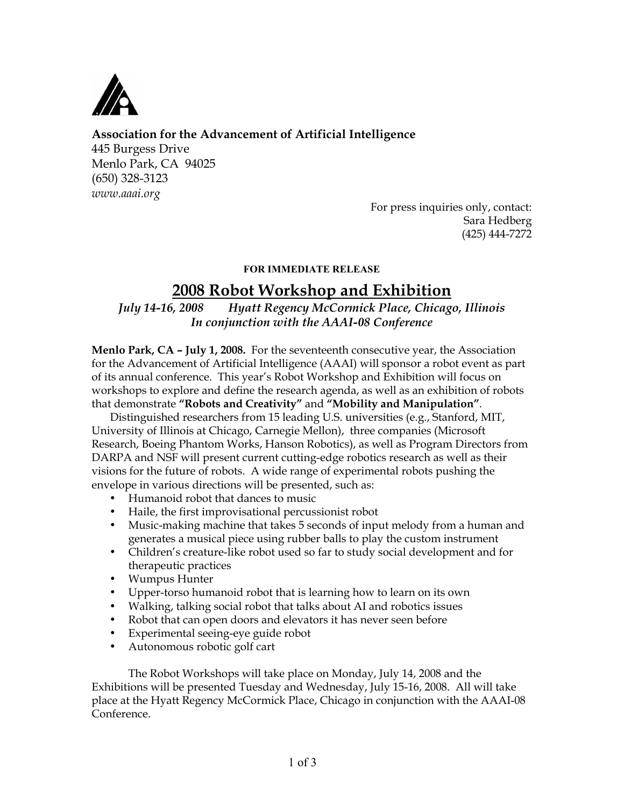

# **Association for the Advancement of Artificial Intelligence**

445 Burgess Drive Menlo Park, CA 94025 (650) 328-3123 *www.aaai.org*

> For press inquiries only, contact: Sara Hedberg (425) 444-7272

## **FOR IMMEDIATE RELEASE**

# **2008 Robot Workshop and Exhibition**

*July 14-16, 2008 Hyatt Regency McCormick Place, Chicago, Illinois In conjunction with the AAAI-08 Conference*

**Menlo Park, CA – July 1, 2008.** For the seventeenth consecutive year, the Association for the Advancement of Artificial Intelligence (AAAI) will sponsor a robot event as part of its annual conference. This year's Robot Workshop and Exhibition will focus on workshops to explore and define the research agenda, as well as an exhibition of robots that demonstrate **"Robots and Creativity"** and **"Mobility and Manipulation"**.

Distinguished researchers from 15 leading U.S. universities (e.g., Stanford, MIT, University of Illinois at Chicago, Carnegie Mellon), three companies (Microsoft Research, Boeing Phantom Works, Hanson Robotics), as well as Program Directors from DARPA and NSF will present current cutting-edge robotics research as well as their visions for the future of robots. A wide range of experimental robots pushing the envelope in various directions will be presented, such as:

- Humanoid robot that dances to music
- Haile, the first improvisational percussionist robot
- Music-making machine that takes 5 seconds of input melody from a human and generates a musical piece using rubber balls to play the custom instrument
- Children's creature-like robot used so far to study social development and for therapeutic practices
- Wumpus Hunter
- Upper-torso humanoid robot that is learning how to learn on its own
- Walking, talking social robot that talks about AI and robotics issues
- Robot that can open doors and elevators it has never seen before
- Experimental seeing-eye guide robot
- Autonomous robotic golf cart

The Robot Workshops will take place on Monday, July 14, 2008 and the Exhibitions will be presented Tuesday and Wednesday, July 15-16, 2008. All will take place at the Hyatt Regency McCormick Place, Chicago in conjunction with the AAAI-08 Conference.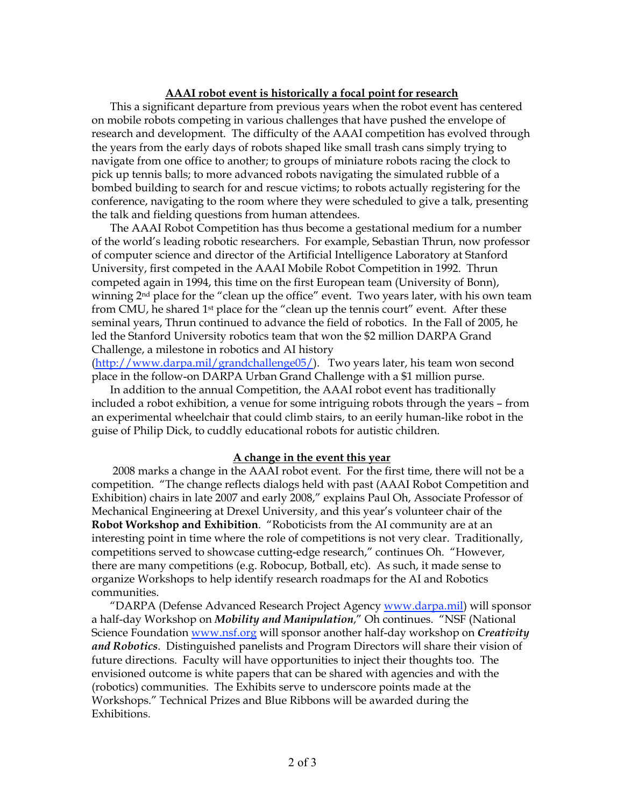#### **AAAI robot event is historically a focal point for research**

This a significant departure from previous years when the robot event has centered on mobile robots competing in various challenges that have pushed the envelope of research and development. The difficulty of the AAAI competition has evolved through the years from the early days of robots shaped like small trash cans simply trying to navigate from one office to another; to groups of miniature robots racing the clock to pick up tennis balls; to more advanced robots navigating the simulated rubble of a bombed building to search for and rescue victims; to robots actually registering for the conference, navigating to the room where they were scheduled to give a talk, presenting the talk and fielding questions from human attendees.

The AAAI Robot Competition has thus become a gestational medium for a number of the world's leading robotic researchers. For example, Sebastian Thrun, now professor of computer science and director of the Artificial Intelligence Laboratory at Stanford University, first competed in the AAAI Mobile Robot Competition in 1992. Thrun competed again in 1994, this time on the first European team (University of Bonn), winning 2<sup>nd</sup> place for the "clean up the office" event. Two years later, with his own team from CMU, he shared 1<sup>st</sup> place for the "clean up the tennis court" event. After these seminal years, Thrun continued to advance the field of robotics. In the Fall of 2005, he led the Stanford University robotics team that won the \$2 million DARPA Grand Challenge, a milestone in robotics and AI history

(http://www.darpa.mil/grandchallenge05/). Two years later, his team won second place in the follow-on DARPA Urban Grand Challenge with a \$1 million purse.

In addition to the annual Competition, the AAAI robot event has traditionally included a robot exhibition, a venue for some intriguing robots through the years – from an experimental wheelchair that could climb stairs, to an eerily human-like robot in the guise of Philip Dick, to cuddly educational robots for autistic children.

#### **A change in the event this year**

 2008 marks a change in the AAAI robot event. For the first time, there will not be a competition. "The change reflects dialogs held with past (AAAI Robot Competition and Exhibition) chairs in late 2007 and early 2008," explains Paul Oh, Associate Professor of Mechanical Engineering at Drexel University, and this year's volunteer chair of the **Robot Workshop and Exhibition**. "Roboticists from the AI community are at an interesting point in time where the role of competitions is not very clear. Traditionally, competitions served to showcase cutting-edge research," continues Oh. "However, there are many competitions (e.g. Robocup, Botball, etc). As such, it made sense to organize Workshops to help identify research roadmaps for the AI and Robotics communities.

"DARPA (Defense Advanced Research Project Agency www.darpa.mil) will sponsor a half-day Workshop on *Mobility and Manipulation*," Oh continues. "NSF (National Science Foundation www.nsf.org will sponsor another half-day workshop on *Creativity and Robotics*. Distinguished panelists and Program Directors will share their vision of future directions. Faculty will have opportunities to inject their thoughts too. The envisioned outcome is white papers that can be shared with agencies and with the (robotics) communities. The Exhibits serve to underscore points made at the Workshops." Technical Prizes and Blue Ribbons will be awarded during the Exhibitions.